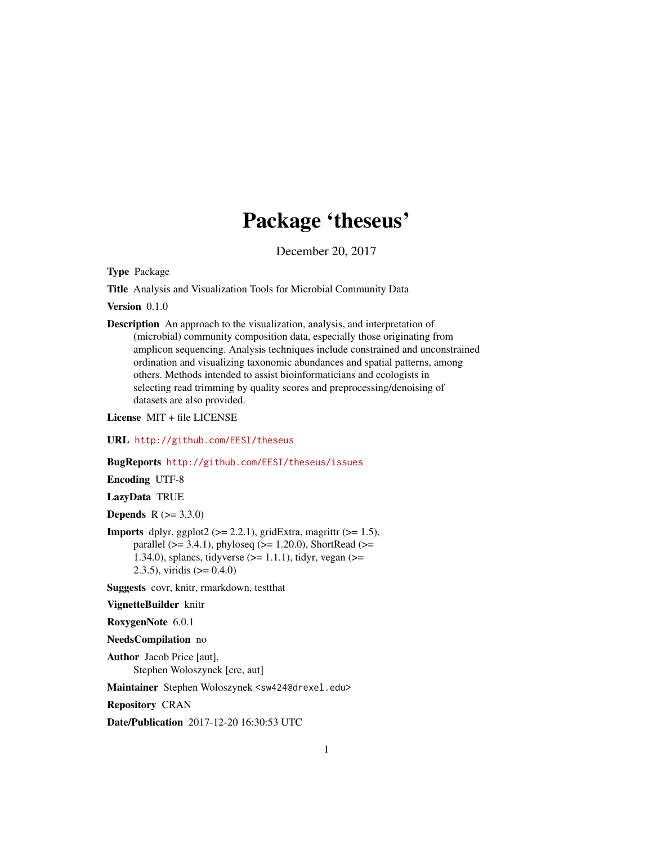## Package 'theseus'

December 20, 2017

<span id="page-0-0"></span>Type Package

Title Analysis and Visualization Tools for Microbial Community Data

Version 0.1.0

Description An approach to the visualization, analysis, and interpretation of (microbial) community composition data, especially those originating from amplicon sequencing. Analysis techniques include constrained and unconstrained ordination and visualizing taxonomic abundances and spatial patterns, among others. Methods intended to assist bioinformaticians and ecologists in selecting read trimming by quality scores and preprocessing/denoising of datasets are also provided.

License MIT + file LICENSE

URL <http://github.com/EESI/theseus>

BugReports <http://github.com/EESI/theseus/issues>

Encoding UTF-8

LazyData TRUE

**Depends** R  $(>= 3.3.0)$ 

**Imports** dplyr, ggplot2 ( $>= 2.2.1$ ), gridExtra, magrittr ( $>= 1.5$ ), parallel ( $>= 3.4.1$ ), phyloseq ( $>= 1.20.0$ ), ShortRead ( $>=$ 1.34.0), splancs, tidyverse  $(>= 1.1.1)$ , tidyr, vegan  $(>= 1.34.0)$ 2.3.5), viridis  $(>= 0.4.0)$ 

Suggests covr, knitr, rmarkdown, testthat

VignetteBuilder knitr

RoxygenNote 6.0.1

NeedsCompilation no

Author Jacob Price [aut], Stephen Woloszynek [cre, aut]

Maintainer Stephen Woloszynek <sw424@drexel.edu>

Repository CRAN

Date/Publication 2017-12-20 16:30:53 UTC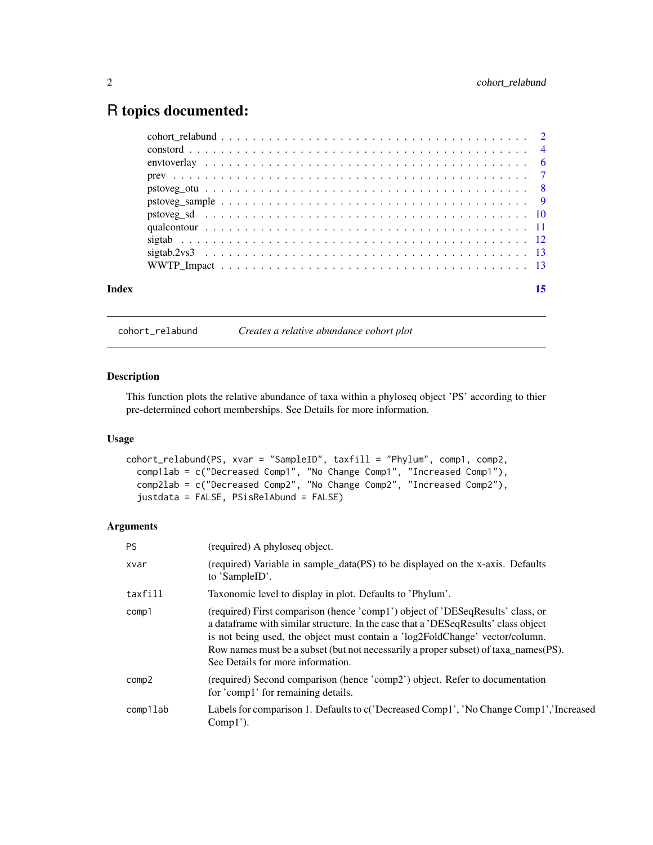### <span id="page-1-0"></span>R topics documented:

|       | $sigtab. 2vs3 \t  \t  \t  \t$ |  |
|-------|-------------------------------|--|
|       |                               |  |
| Index | 15                            |  |
|       |                               |  |

cohort\_relabund *Creates a relative abundance cohort plot*

#### Description

This function plots the relative abundance of taxa within a phyloseq object 'PS' according to thier pre-determined cohort memberships. See Details for more information.

#### Usage

```
cohort_relabund(PS, xvar = "SampleID", taxfill = "Phylum", comp1, comp2,
  comp1lab = c("Decreased Comp1", "No Change Comp1", "Increased Comp1"),
  comp2lab = c("Decreased Comp2", "No Change Comp2", "Increased Comp2"),
  justdata = FALSE, PSisRelAbund = FALSE)
```
#### Arguments

| <b>PS</b> | (required) A phyloseq object.                                                                                                                                                                                                                                                                                                                                                     |
|-----------|-----------------------------------------------------------------------------------------------------------------------------------------------------------------------------------------------------------------------------------------------------------------------------------------------------------------------------------------------------------------------------------|
| xvar      | (required) Variable in sample_data(PS) to be displayed on the x-axis. Defaults<br>to 'SampleID'.                                                                                                                                                                                                                                                                                  |
| taxfill   | Taxonomic level to display in plot. Defaults to 'Phylum'.                                                                                                                                                                                                                                                                                                                         |
| comp1     | (required) First comparison (hence 'comp1') object of 'DESeqResults' class, or<br>a data frame with similar structure. In the case that a 'DESeqResults' class object<br>is not being used, the object must contain a 'log2FoldChange' vector/column.<br>Row names must be a subset (but not necessarily a proper subset) of taxa_names(PS).<br>See Details for more information. |
| comp2     | (required) Second comparison (hence 'comp2') object. Refer to documentation<br>for 'comp1' for remaining details.                                                                                                                                                                                                                                                                 |
| comp1lab  | Labels for comparison 1. Defaults to c('Decreased Comp1', 'No Change Comp1', 'Increased<br>$Comp1$ ').                                                                                                                                                                                                                                                                            |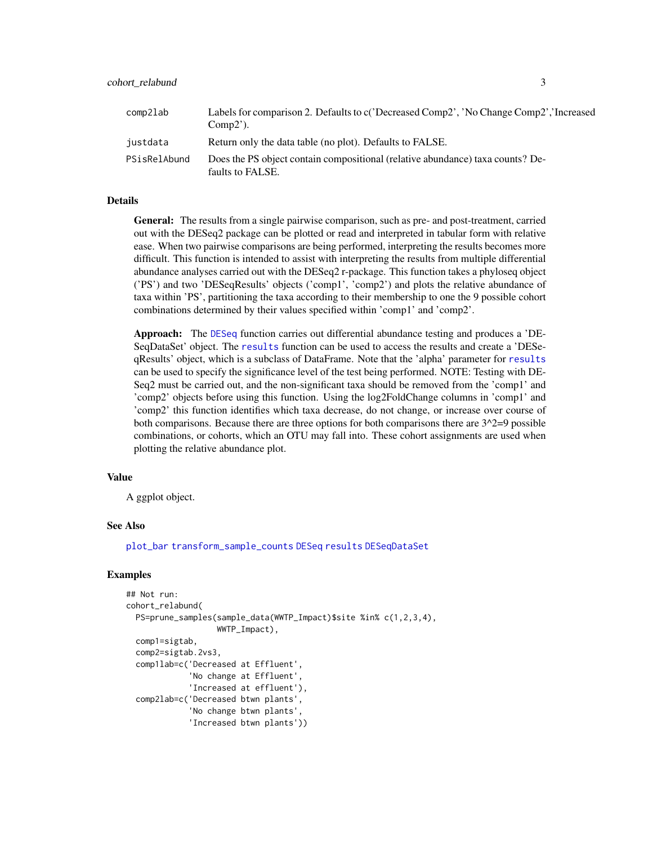<span id="page-2-0"></span>

| comp2lab     | Labels for comparison 2. Defaults to c('Decreased Comp2', 'No Change Comp2','Increased<br>$Comp2$ ). |
|--------------|------------------------------------------------------------------------------------------------------|
| justdata     | Return only the data table (no plot). Defaults to FALSE.                                             |
| PSisRelAbund | Does the PS object contain compositional (relative abundance) taxa counts? De-<br>faults to FALSE.   |

#### Details

General: The results from a single pairwise comparison, such as pre- and post-treatment, carried out with the DESeq2 package can be plotted or read and interpreted in tabular form with relative ease. When two pairwise comparisons are being performed, interpreting the results becomes more difficult. This function is intended to assist with interpreting the results from multiple differential abundance analyses carried out with the DESeq2 r-package. This function takes a phyloseq object ('PS') and two 'DESeqResults' objects ('comp1', 'comp2') and plots the relative abundance of taxa within 'PS', partitioning the taxa according to their membership to one the 9 possible cohort combinations determined by their values specified within 'comp1' and 'comp2'.

Approach: The [DESeq](#page-0-0) function carries out differential abundance testing and produces a 'DE-SeqDataSet' object. The [results](#page-0-0) function can be used to access the results and create a 'DESeqResults' object, which is a subclass of DataFrame. Note that the 'alpha' parameter for [results](#page-0-0) can be used to specify the significance level of the test being performed. NOTE: Testing with DE-Seq2 must be carried out, and the non-significant taxa should be removed from the 'comp1' and 'comp2' objects before using this function. Using the log2FoldChange columns in 'comp1' and 'comp2' this function identifies which taxa decrease, do not change, or increase over course of both comparisons. Because there are three options for both comparisons there are  $3^2=9$  possible combinations, or cohorts, which an OTU may fall into. These cohort assignments are used when plotting the relative abundance plot.

#### Value

A ggplot object.

#### See Also

[plot\\_bar](#page-0-0) [transform\\_sample\\_counts](#page-0-0) [DESeq](#page-0-0) [results](#page-0-0) [DESeqDataSet](#page-0-0)

```
## Not run:
cohort_relabund(
 PS=prune_samples(sample_data(WWTP_Impact)$site %in% c(1,2,3,4),
                   WWTP_Impact),
 comp1=sigtab,
 comp2=sigtab.2vs3,
 comp1lab=c('Decreased at Effluent',
             'No change at Effluent',
             'Increased at effluent'),
 comp2lab=c('Decreased btwn plants',
             'No change btwn plants',
             'Increased btwn plants'))
```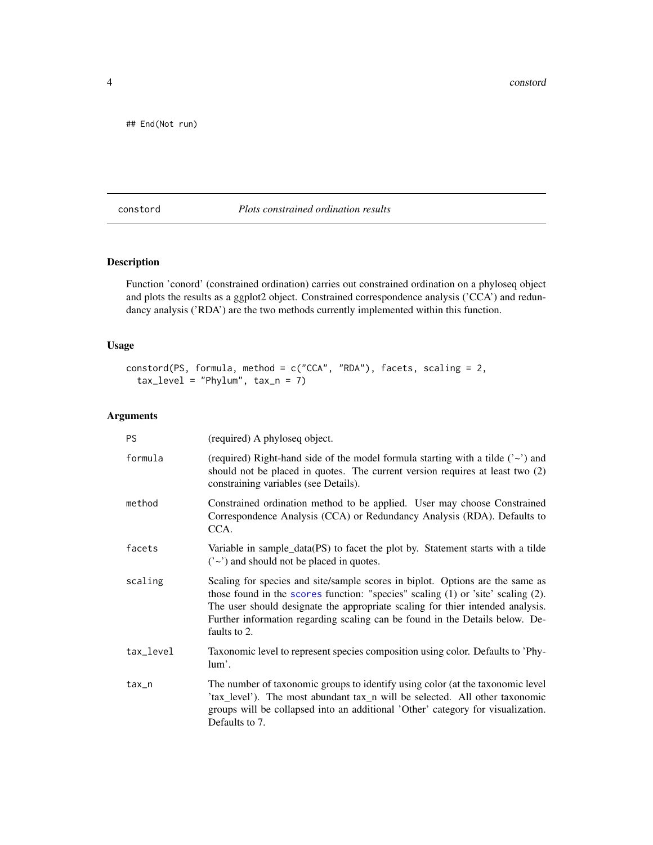<span id="page-3-0"></span>4 constord

## End(Not run)

#### constord *Plots constrained ordination results*

#### Description

Function 'conord' (constrained ordination) carries out constrained ordination on a phyloseq object and plots the results as a ggplot2 object. Constrained correspondence analysis ('CCA') and redundancy analysis ('RDA') are the two methods currently implemented within this function.

#### Usage

```
constord(PS, formula, method = c("CCA", "RDA"), facets, scaling = 2,
  tax\_level = "Phylum", tax_n = 7)
```
#### Arguments

| <b>PS</b> | (required) A phyloseq object.                                                                                                                                                                                                                                                                                                                       |
|-----------|-----------------------------------------------------------------------------------------------------------------------------------------------------------------------------------------------------------------------------------------------------------------------------------------------------------------------------------------------------|
| formula   | (required) Right-hand side of the model formula starting with a tilde $(2\gamma)$ and<br>should not be placed in quotes. The current version requires at least two (2)<br>constraining variables (see Details).                                                                                                                                     |
| method    | Constrained ordination method to be applied. User may choose Constrained<br>Correspondence Analysis (CCA) or Redundancy Analysis (RDA). Defaults to<br>CCA.                                                                                                                                                                                         |
| facets    | Variable in sample_data(PS) to facet the plot by. Statement starts with a tilde<br>$('~)$ and should not be placed in quotes.                                                                                                                                                                                                                       |
| scaling   | Scaling for species and site/sample scores in biplot. Options are the same as<br>those found in the scores function: "species" scaling (1) or 'site' scaling (2).<br>The user should designate the appropriate scaling for thier intended analysis.<br>Further information regarding scaling can be found in the Details below. De-<br>faults to 2. |
| tax_level | Taxonomic level to represent species composition using color. Defaults to 'Phy-<br>lum'.                                                                                                                                                                                                                                                            |
| $tax_n$   | The number of taxonomic groups to identify using color (at the taxonomic level<br>'tax_level'). The most abundant tax_n will be selected. All other taxonomic<br>groups will be collapsed into an additional 'Other' category for visualization.<br>Defaults to 7.                                                                                  |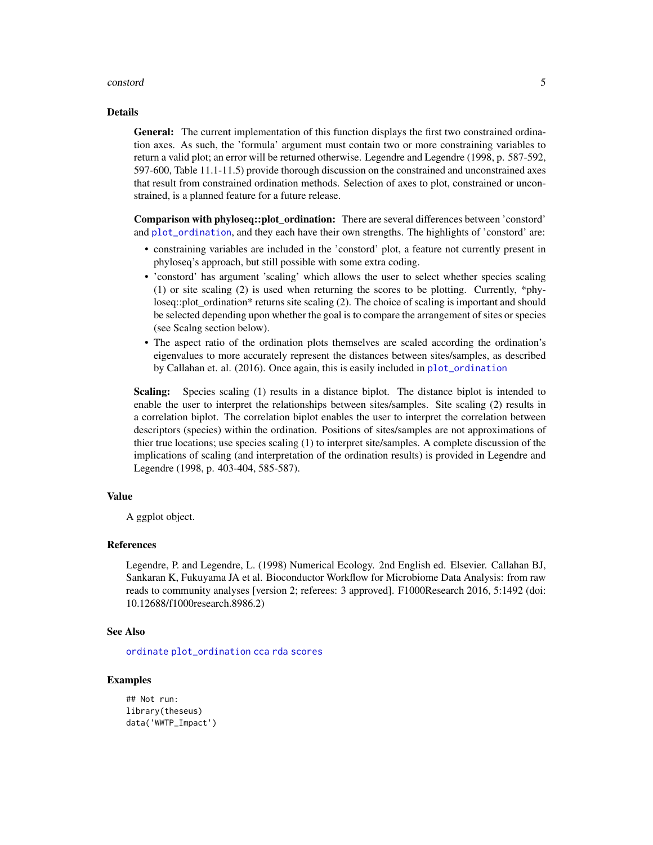#### <span id="page-4-0"></span>constord 5

#### Details

General: The current implementation of this function displays the first two constrained ordination axes. As such, the 'formula' argument must contain two or more constraining variables to return a valid plot; an error will be returned otherwise. Legendre and Legendre (1998, p. 587-592, 597-600, Table 11.1-11.5) provide thorough discussion on the constrained and unconstrained axes that result from constrained ordination methods. Selection of axes to plot, constrained or unconstrained, is a planned feature for a future release.

Comparison with phyloseq::plot ordination: There are several differences between 'constord' and [plot\\_ordination](#page-0-0), and they each have their own strengths. The highlights of 'constord' are:

- constraining variables are included in the 'constord' plot, a feature not currently present in phyloseq's approach, but still possible with some extra coding.
- 'constord' has argument 'scaling' which allows the user to select whether species scaling (1) or site scaling (2) is used when returning the scores to be plotting. Currently, \*phyloseq::plot\_ordination\* returns site scaling (2). The choice of scaling is important and should be selected depending upon whether the goal is to compare the arrangement of sites or species (see Scalng section below).
- The aspect ratio of the ordination plots themselves are scaled according the ordination's eigenvalues to more accurately represent the distances between sites/samples, as described by Callahan et. al. (2016). Once again, this is easily included in [plot\\_ordination](#page-0-0)

Scaling: Species scaling (1) results in a distance biplot. The distance biplot is intended to enable the user to interpret the relationships between sites/samples. Site scaling (2) results in a correlation biplot. The correlation biplot enables the user to interpret the correlation between descriptors (species) within the ordination. Positions of sites/samples are not approximations of thier true locations; use species scaling (1) to interpret site/samples. A complete discussion of the implications of scaling (and interpretation of the ordination results) is provided in Legendre and Legendre (1998, p. 403-404, 585-587).

#### Value

A ggplot object.

#### References

Legendre, P. and Legendre, L. (1998) Numerical Ecology. 2nd English ed. Elsevier. Callahan BJ, Sankaran K, Fukuyama JA et al. Bioconductor Workflow for Microbiome Data Analysis: from raw reads to community analyses [version 2; referees: 3 approved]. F1000Research 2016, 5:1492 (doi: 10.12688/f1000research.8986.2)

#### See Also

[ordinate](#page-0-0) [plot\\_ordination](#page-0-0) [cca](#page-0-0) [rda](#page-0-0) [scores](#page-0-0)

#### Examples

## Not run: library(theseus) data('WWTP\_Impact')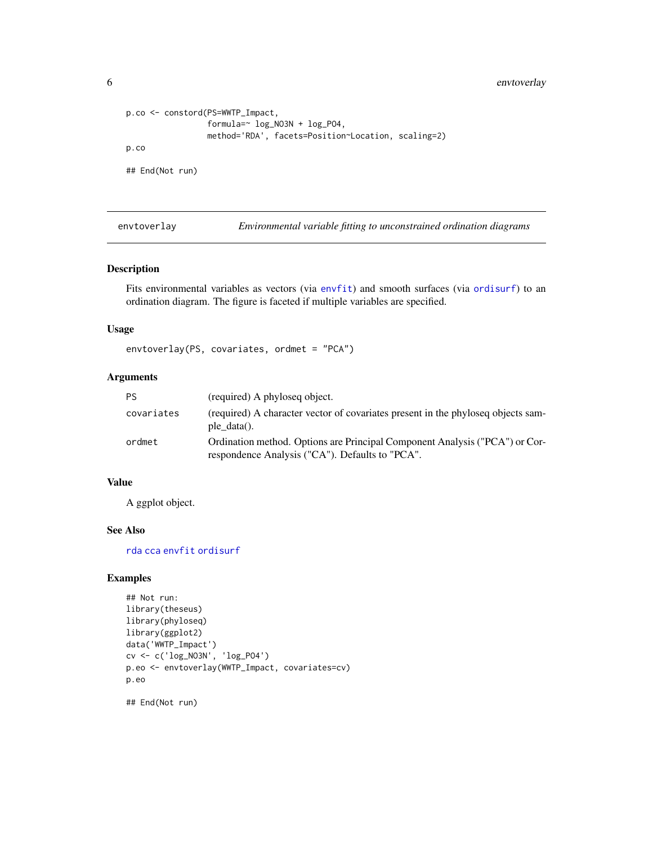<span id="page-5-0"></span>6 envtoverlay

```
p.co <- constord(PS=WWTP_Impact,
                 formula=~ log_NO3N + log_PO4,
                 method='RDA', facets=Position~Location, scaling=2)
p.co
## End(Not run)
```
envtoverlay *Environmental variable fitting to unconstrained ordination diagrams*

#### Description

Fits environmental variables as vectors (via [envfit](#page-0-0)) and smooth surfaces (via [ordisurf](#page-0-0)) to an ordination diagram. The figure is faceted if multiple variables are specified.

#### Usage

envtoverlay(PS, covariates, ordmet = "PCA")

#### Arguments

| PS.        | (required) A phyloseq object.                                                                                                  |
|------------|--------------------------------------------------------------------------------------------------------------------------------|
| covariates | (required) A character vector of covariates present in the phyloseq objects sam-<br>ple $data()$ .                             |
| ordmet     | Ordination method. Options are Principal Component Analysis ("PCA") or Cor-<br>respondence Analysis ("CA"). Defaults to "PCA". |

#### Value

A ggplot object.

#### See Also

[rda](#page-0-0) [cca](#page-0-0) [envfit](#page-0-0) [ordisurf](#page-0-0)

#### Examples

```
## Not run:
library(theseus)
library(phyloseq)
library(ggplot2)
data('WWTP_Impact')
cv <- c('log_NO3N', 'log_PO4')
p.eo <- envtoverlay(WWTP_Impact, covariates=cv)
p.eo
```
## End(Not run)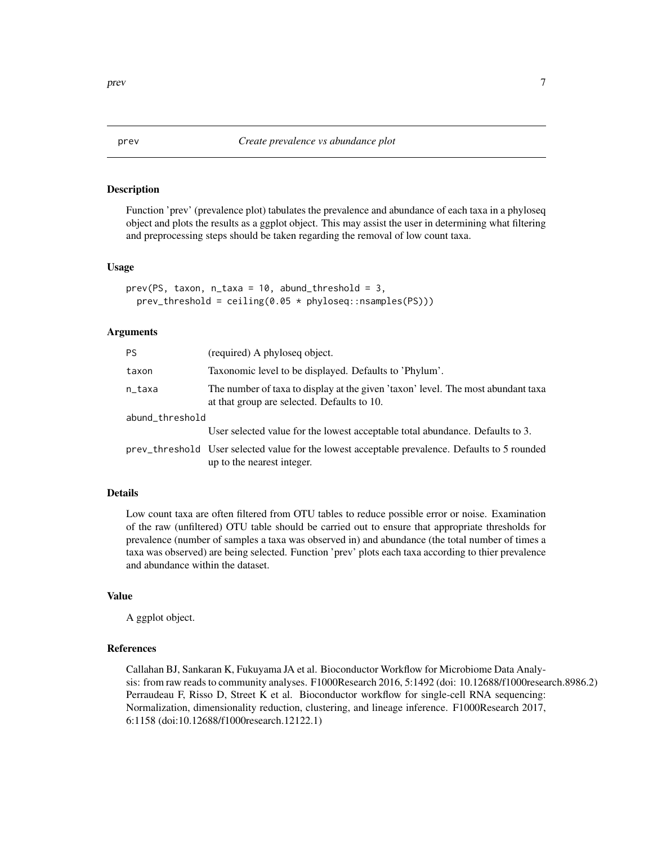#### Description

Function 'prev' (prevalence plot) tabulates the prevalence and abundance of each taxa in a phyloseq object and plots the results as a ggplot object. This may assist the user in determining what filtering and preprocessing steps should be taken regarding the removal of low count taxa.

#### Usage

```
prev(PS, taxon, n\_taxa = 10, abund\_threshold = 3,prev_threshold = ceiling(0.05 * phyloseq::nsamples(PS)))
```
#### Arguments

| PS.             | (required) A phyloseq object.                                                                                                   |
|-----------------|---------------------------------------------------------------------------------------------------------------------------------|
| taxon           | Taxonomic level to be displayed. Defaults to 'Phylum'.                                                                          |
| n_taxa          | The number of taxa to display at the given 'taxon' level. The most abundant taxa<br>at that group are selected. Defaults to 10. |
| abund_threshold |                                                                                                                                 |
|                 | User selected value for the lowest acceptable total abundance. Defaults to 3.                                                   |
|                 | prev_threshold User selected value for the lowest acceptable prevalence. Defaults to 5 rounded<br>up to the nearest integer.    |

#### Details

Low count taxa are often filtered from OTU tables to reduce possible error or noise. Examination of the raw (unfiltered) OTU table should be carried out to ensure that appropriate thresholds for prevalence (number of samples a taxa was observed in) and abundance (the total number of times a taxa was observed) are being selected. Function 'prev' plots each taxa according to thier prevalence and abundance within the dataset.

#### Value

A ggplot object.

#### References

Callahan BJ, Sankaran K, Fukuyama JA et al. Bioconductor Workflow for Microbiome Data Analysis: from raw reads to community analyses. F1000Research 2016, 5:1492 (doi: 10.12688/f1000research.8986.2) Perraudeau F, Risso D, Street K et al. Bioconductor workflow for single-cell RNA sequencing: Normalization, dimensionality reduction, clustering, and lineage inference. F1000Research 2017, 6:1158 (doi:10.12688/f1000research.12122.1)

<span id="page-6-0"></span>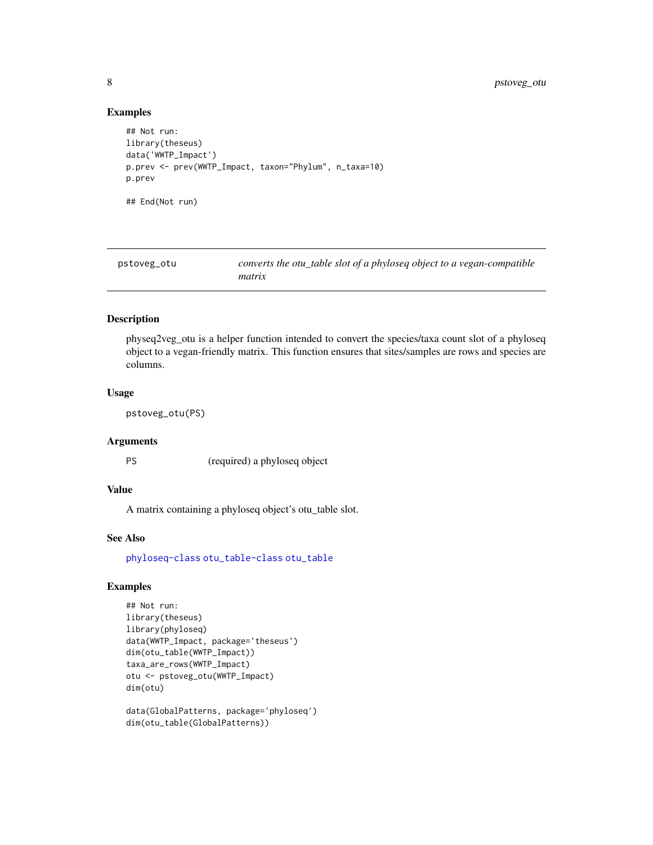#### Examples

```
## Not run:
library(theseus)
data('WWTP_Impact')
p.prev <- prev(WWTP_Impact, taxon="Phylum", n_taxa=10)
p.prev
## End(Not run)
```

| pstoveg_otu | converts the otu_table slot of a phyloseq object to a vegan-compatible |
|-------------|------------------------------------------------------------------------|
|             | matrix                                                                 |

#### Description

physeq2veg\_otu is a helper function intended to convert the species/taxa count slot of a phyloseq object to a vegan-friendly matrix. This function ensures that sites/samples are rows and species are columns.

#### Usage

```
pstoveg_otu(PS)
```
#### Arguments

PS (required) a phyloseq object

#### Value

A matrix containing a phyloseq object's otu\_table slot.

#### See Also

[phyloseq-class](#page-0-0) [otu\\_table-class](#page-0-0) [otu\\_table](#page-0-0)

```
## Not run:
library(theseus)
library(phyloseq)
data(WWTP_Impact, package='theseus')
dim(otu_table(WWTP_Impact))
taxa_are_rows(WWTP_Impact)
otu <- pstoveg_otu(WWTP_Impact)
dim(otu)
```

```
data(GlobalPatterns, package='phyloseq')
dim(otu_table(GlobalPatterns))
```
<span id="page-7-0"></span>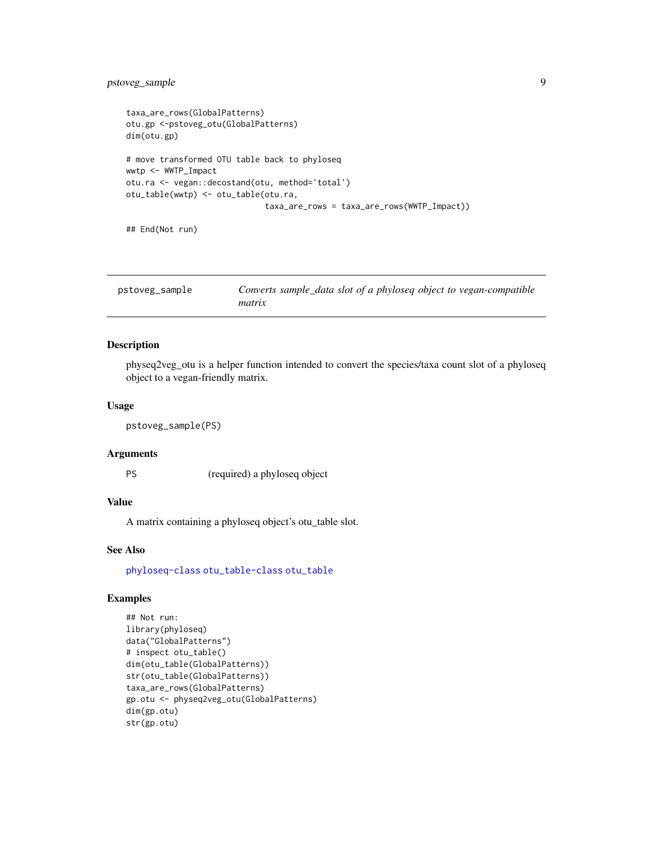#### <span id="page-8-0"></span>pstoveg\_sample 9

```
taxa_are_rows(GlobalPatterns)
otu.gp <-pstoveg_otu(GlobalPatterns)
dim(otu.gp)
# move transformed OTU table back to phyloseq
wwtp <- WWTP_Impact
otu.ra <- vegan::decostand(otu, method='total')
otu_table(wwtp) <- otu_table(otu.ra,
                             taxa_are_rows = taxa_are_rows(WWTP_Impact))
```
## End(Not run)

| pstoveg_sample | Converts sample_data slot of a phyloseq object to vegan-compatible |
|----------------|--------------------------------------------------------------------|
|                | matrix                                                             |

#### Description

physeq2veg\_otu is a helper function intended to convert the species/taxa count slot of a phyloseq object to a vegan-friendly matrix.

#### Usage

```
pstoveg_sample(PS)
```
#### Arguments

PS (required) a phyloseq object

#### Value

A matrix containing a phyloseq object's otu\_table slot.

#### See Also

[phyloseq-class](#page-0-0) [otu\\_table-class](#page-0-0) [otu\\_table](#page-0-0)

```
## Not run:
library(phyloseq)
data("GlobalPatterns")
# inspect otu_table()
dim(otu_table(GlobalPatterns))
str(otu_table(GlobalPatterns))
taxa_are_rows(GlobalPatterns)
gp.otu <- physeq2veg_otu(GlobalPatterns)
dim(gp.otu)
str(gp.otu)
```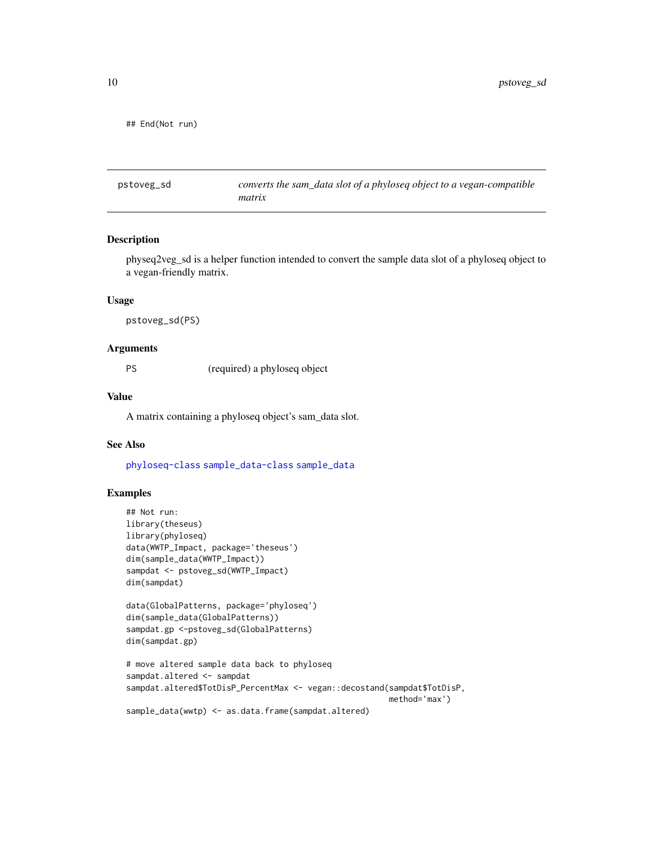<span id="page-9-0"></span>## End(Not run)

pstoveg\_sd *converts the sam\_data slot of a phyloseq object to a vegan-compatible matrix*

#### Description

physeq2veg\_sd is a helper function intended to convert the sample data slot of a phyloseq object to a vegan-friendly matrix.

#### Usage

pstoveg\_sd(PS)

#### **Arguments**

PS (required) a phyloseq object

#### Value

A matrix containing a phyloseq object's sam\_data slot.

#### See Also

[phyloseq-class](#page-0-0) [sample\\_data-class](#page-0-0) [sample\\_data](#page-0-0)

```
## Not run:
library(theseus)
library(phyloseq)
data(WWTP_Impact, package='theseus')
dim(sample_data(WWTP_Impact))
sampdat <- pstoveg_sd(WWTP_Impact)
dim(sampdat)
```

```
data(GlobalPatterns, package='phyloseq')
dim(sample_data(GlobalPatterns))
sampdat.gp <-pstoveg_sd(GlobalPatterns)
dim(sampdat.gp)
```

```
# move altered sample data back to phyloseq
sampdat.altered <- sampdat
sampdat.altered$TotDisP_PercentMax <- vegan::decostand(sampdat$TotDisP,
                                                       method='max')
sample_data(wwtp) <- as.data.frame(sampdat.altered)
```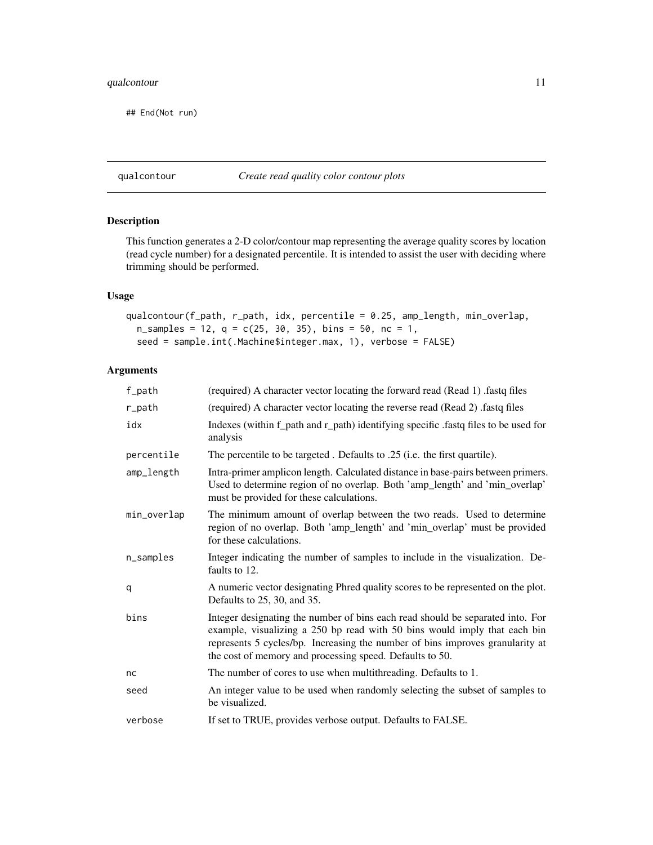#### <span id="page-10-0"></span>qualcontour 11

## End(Not run)

#### qualcontour *Create read quality color contour plots*

#### Description

This function generates a 2-D color/contour map representing the average quality scores by location (read cycle number) for a designated percentile. It is intended to assist the user with deciding where trimming should be performed.

#### Usage

```
qualcontour(f_path, r_path, idx, percentile = 0.25, amp_length, min_overlap,
 n_samples = 12, q = c(25, 30, 35), bins = 50, nc = 1,
 seed = sample.int(.Machine$integer.max, 1), verbose = FALSE)
```
#### Arguments

| f_path       | (required) A character vector locating the forward read (Read 1) .fastq files                                                                                                                                                                                                                            |
|--------------|----------------------------------------------------------------------------------------------------------------------------------------------------------------------------------------------------------------------------------------------------------------------------------------------------------|
| r_path       | (required) A character vector locating the reverse read (Read 2) .fastq files                                                                                                                                                                                                                            |
| idx          | Indexes (within f_path and r_path) identifying specific .fastq files to be used for<br>analysis                                                                                                                                                                                                          |
| percentile   | The percentile to be targeted. Defaults to .25 (i.e. the first quartile).                                                                                                                                                                                                                                |
| amp_length   | Intra-primer amplicon length. Calculated distance in base-pairs between primers.<br>Used to determine region of no overlap. Both 'amp_length' and 'min_overlap'<br>must be provided for these calculations.                                                                                              |
| min_overlap  | The minimum amount of overlap between the two reads. Used to determine<br>region of no overlap. Both 'amp_length' and 'min_overlap' must be provided<br>for these calculations.                                                                                                                          |
| $n$ _samples | Integer indicating the number of samples to include in the visualization. De-<br>faults to 12.                                                                                                                                                                                                           |
| q            | A numeric vector designating Phred quality scores to be represented on the plot.<br>Defaults to 25, 30, and 35.                                                                                                                                                                                          |
| bins         | Integer designating the number of bins each read should be separated into. For<br>example, visualizing a 250 bp read with 50 bins would imply that each bin<br>represents 5 cycles/bp. Increasing the number of bins improves granularity at<br>the cost of memory and processing speed. Defaults to 50. |
| nc           | The number of cores to use when multithreading. Defaults to 1.                                                                                                                                                                                                                                           |
| seed         | An integer value to be used when randomly selecting the subset of samples to<br>be visualized.                                                                                                                                                                                                           |
| verbose      | If set to TRUE, provides verbose output. Defaults to FALSE.                                                                                                                                                                                                                                              |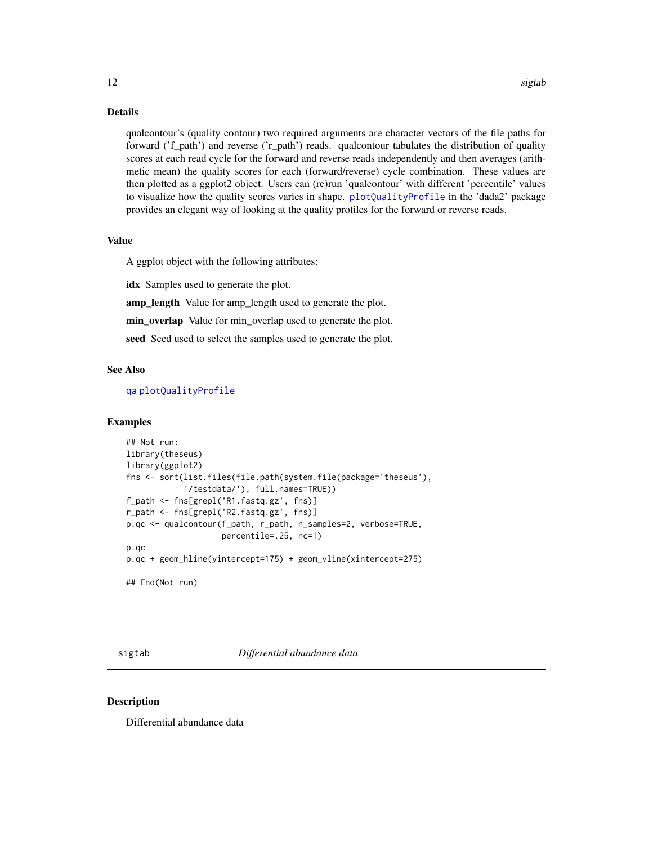<span id="page-11-0"></span>qualcontour's (quality contour) two required arguments are character vectors of the file paths for forward ('f\_path') and reverse ('r\_path') reads. qualcontour tabulates the distribution of quality scores at each read cycle for the forward and reverse reads independently and then averages (arithmetic mean) the quality scores for each (forward/reverse) cycle combination. These values are then plotted as a ggplot2 object. Users can (re)run 'qualcontour' with different 'percentile' values to visualize how the quality scores varies in shape. [plotQualityProfile](#page-0-0) in the 'dada2' package provides an elegant way of looking at the quality profiles for the forward or reverse reads.

#### Value

A ggplot object with the following attributes:

idx Samples used to generate the plot.

amp\_length Value for amp\_length used to generate the plot.

min\_overlap Value for min\_overlap used to generate the plot.

seed Seed used to select the samples used to generate the plot.

#### See Also

[qa](#page-0-0) [plotQualityProfile](#page-0-0)

#### Examples

```
## Not run:
library(theseus)
library(ggplot2)
fns <- sort(list.files(file.path(system.file(package='theseus'),
            '/testdata/'), full.names=TRUE))
f_path <- fns[grepl('R1.fastq.gz', fns)]
r_path <- fns[grepl('R2.fastq.gz', fns)]
p.qc <- qualcontour(f_path, r_path, n_samples=2, verbose=TRUE,
                    percentile=.25, nc=1)
p.qc
p.qc + geom_hline(yintercept=175) + geom_vline(xintercept=275)
## End(Not run)
```
sigtab *Differential abundance data*

#### **Description**

Differential abundance data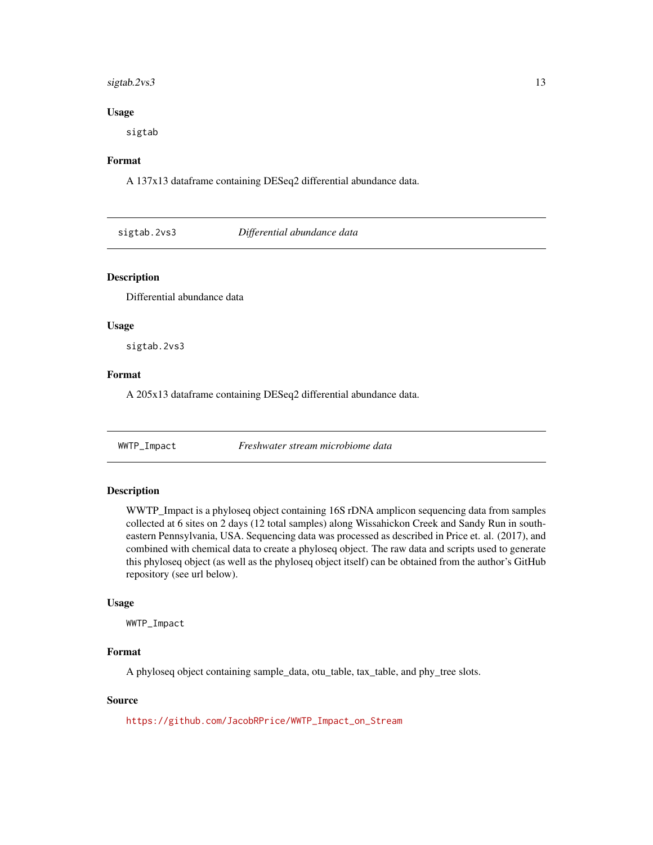#### <span id="page-12-0"></span>sigtab.2vs3 13

#### Usage

sigtab

#### Format

A 137x13 dataframe containing DESeq2 differential abundance data.

sigtab.2vs3 *Differential abundance data*

#### Description

Differential abundance data

#### Usage

sigtab.2vs3

#### Format

A 205x13 dataframe containing DESeq2 differential abundance data.

WWTP\_Impact *Freshwater stream microbiome data*

#### Description

WWTP\_Impact is a phyloseq object containing 16S rDNA amplicon sequencing data from samples collected at 6 sites on 2 days (12 total samples) along Wissahickon Creek and Sandy Run in southeastern Pennsylvania, USA. Sequencing data was processed as described in Price et. al. (2017), and combined with chemical data to create a phyloseq object. The raw data and scripts used to generate this phyloseq object (as well as the phyloseq object itself) can be obtained from the author's GitHub repository (see url below).

#### Usage

WWTP\_Impact

#### Format

A phyloseq object containing sample\_data, otu\_table, tax\_table, and phy\_tree slots.

#### Source

[https://github.com/JacobRPrice/WWTP\\_Impact\\_on\\_Stream](https://github.com/JacobRPrice/WWTP_Impact_on_Stream)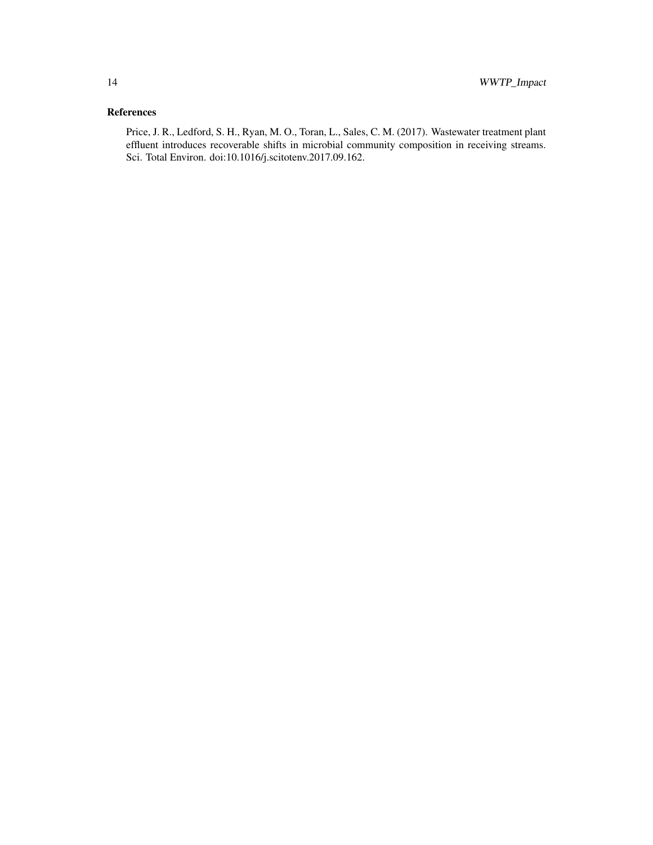#### References

Price, J. R., Ledford, S. H., Ryan, M. O., Toran, L., Sales, C. M. (2017). Wastewater treatment plant effluent introduces recoverable shifts in microbial community composition in receiving streams. Sci. Total Environ. doi:10.1016/j.scitotenv.2017.09.162.